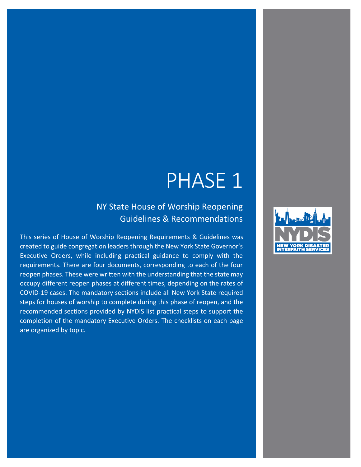## PHASE 1

NY State House of Worship Reopening Guidelines & Recommendations

This series of House of Worship Reopening Requirements & Guidelines was created to guide congregation leaders through the New York State Governor's Executive Orders, while including practical guidance to comply with the requirements. There are four documents, corresponding to each of the four reopen phases. These were written with the understanding that the state may occupy different reopen phases at different times, depending on the rates of COVID-19 cases. The mandatory sections include all New York State required steps for houses of worship to complete during this phase of reopen, and the recommended sections provided by NYDIS list practical steps to support the completion of the mandatory Executive Orders. The checklists on each page are organized by topic.

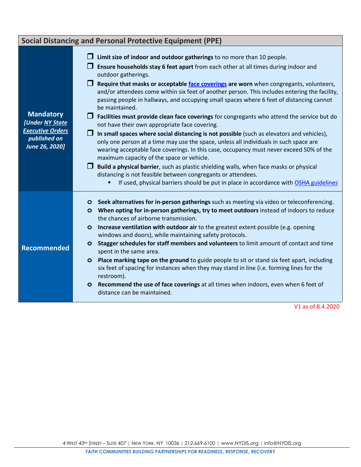|                                                                                                  | <b>Social Distancing and Personal Protective Equipment (PPE)</b>                                                                                                                                                                                                                                                                                                                                                                                                                                                                                                                                                                                                                                                                                                                                                                                                                                                                                                                                                                                                                                                                                                                                                                          |
|--------------------------------------------------------------------------------------------------|-------------------------------------------------------------------------------------------------------------------------------------------------------------------------------------------------------------------------------------------------------------------------------------------------------------------------------------------------------------------------------------------------------------------------------------------------------------------------------------------------------------------------------------------------------------------------------------------------------------------------------------------------------------------------------------------------------------------------------------------------------------------------------------------------------------------------------------------------------------------------------------------------------------------------------------------------------------------------------------------------------------------------------------------------------------------------------------------------------------------------------------------------------------------------------------------------------------------------------------------|
| <b>Mandatory</b><br>[Under NY State<br><b>Executive Orders</b><br>published on<br>June 26, 2020] | Limit size of indoor and outdoor gatherings to no more than 10 people.<br>Ensure households stay 6 feet apart from each other at all times during indoor and<br>outdoor gatherings.<br>$\Box$ Require that masks or acceptable face coverings are worn when congregants, volunteers,<br>and/or attendees come within six feet of another person. This includes entering the facility,<br>passing people in hallways, and occupying small spaces where 6 feet of distancing cannot<br>be maintained.<br>Facilities must provide clean face coverings for congregants who attend the service but do<br>not have their own appropriate face covering.<br>$\Box$ In small spaces where social distancing is not possible (such as elevators and vehicles),<br>only one person at a time may use the space, unless all individuals in such space are<br>wearing acceptable face coverings. In this case, occupancy must never exceed 50% of the<br>maximum capacity of the space or vehicle.<br>Build a physical barrier, such as plastic shielding walls, when face masks or physical<br>distancing is not feasible between congregants or attendees.<br>If used, physical barriers should be put in place in accordance with OSHA guidelines |
| <b>Recommended</b>                                                                               | Seek alternatives for in-person gatherings such as meeting via video or teleconferencing.<br>$\circ$<br>When opting for in-person gatherings, try to meet outdoors instead of indoors to reduce<br>$\circ$<br>the chances of airborne transmission.<br>Increase ventilation with outdoor air to the greatest extent possible (e.g. opening<br>$\circ$<br>windows and doors), while maintaining safety protocols.<br>Stagger schedules for staff members and volunteers to limit amount of contact and time<br>$\circ$<br>spent in the same area.<br><b>Place marking tape on the ground to guide people to sit or stand six feet apart, including</b><br>$\circ$<br>six feet of spacing for instances when they may stand in line (i.e. forming lines for the<br>restroom).<br>Recommend the use of face coverings at all times when indoors, even when 6 feet of<br>$\circ$<br>distance can be maintained.                                                                                                                                                                                                                                                                                                                               |

V1 as of 8.4.2020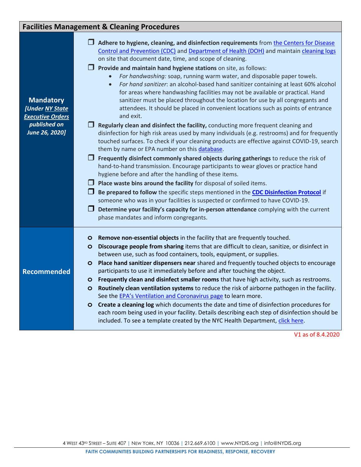## **Facilities Management & Cleaning Procedures**

| <b>Mandatory</b><br>[Under NY State<br><b>Executive Orders</b><br>published on<br>June 26, 2020] | $\Box$ Adhere to hygiene, cleaning, and disinfection requirements from the Centers for Disease<br>Control and Prevention (CDC) and Department of Health (DOH) and maintain cleaning logs<br>on site that document date, time, and scope of cleaning.<br>$\Box$ Provide and maintain hand hygiene stations on site, as follows:<br>For handwashing: soap, running warm water, and disposable paper towels.<br>$\bullet$<br>For hand sanitizer: an alcohol-based hand sanitizer containing at least 60% alcohol<br>$\bullet$<br>for areas where handwashing facilities may not be available or practical. Hand<br>sanitizer must be placed throughout the location for use by all congregants and<br>attendees. It should be placed in convenient locations such as points of entrance<br>and exit.<br>Regularly clean and disinfect the facility, conducting more frequent cleaning and<br>disinfection for high risk areas used by many individuals (e.g. restrooms) and for frequently<br>touched surfaces. To check if your cleaning products are effective against COVID-19, search<br>them by name or EPA number on this database.<br>$\Box$ Frequently disinfect commonly shared objects during gatherings to reduce the risk of<br>hand-to-hand transmission. Encourage participants to wear gloves or practice hand<br>hygiene before and after the handling of these items.<br>$\Box$ Place waste bins around the facility for disposal of soiled items.<br>Be prepared to follow the specific steps mentioned in the CDC Disinfection Protocol if<br>someone who was in your facilities is suspected or confirmed to have COVID-19.<br>U<br>Determine your facility's capacity for in-person attendance complying with the current<br>phase mandates and inform congregants. |
|--------------------------------------------------------------------------------------------------|---------------------------------------------------------------------------------------------------------------------------------------------------------------------------------------------------------------------------------------------------------------------------------------------------------------------------------------------------------------------------------------------------------------------------------------------------------------------------------------------------------------------------------------------------------------------------------------------------------------------------------------------------------------------------------------------------------------------------------------------------------------------------------------------------------------------------------------------------------------------------------------------------------------------------------------------------------------------------------------------------------------------------------------------------------------------------------------------------------------------------------------------------------------------------------------------------------------------------------------------------------------------------------------------------------------------------------------------------------------------------------------------------------------------------------------------------------------------------------------------------------------------------------------------------------------------------------------------------------------------------------------------------------------------------------------------------------------------------------------------------------------------------------------|
| <b>Recommended</b>                                                                               | Remove non-essential objects in the facility that are frequently touched.<br>$\circ$<br>Discourage people from sharing items that are difficult to clean, sanitize, or disinfect in<br>$\circ$<br>between use, such as food containers, tools, equipment, or supplies.<br>Place hand sanitizer dispensers near shared and frequently touched objects to encourage<br>$\circ$<br>participants to use it immediately before and after touching the object.<br>Frequently clean and disinfect smaller rooms that have high activity, such as restrooms.<br>$\circ$<br>Routinely clean ventilation systems to reduce the risk of airborne pathogen in the facility.<br>$\circ$<br>See the EPA's Ventilation and Coronavirus page to learn more.<br>Create a cleaning log which documents the date and time of disinfection procedures for<br>$\circ$<br>each room being used in your facility. Details describing each step of disinfection should be<br>included. To see a template created by the NYC Health Department, click here.                                                                                                                                                                                                                                                                                                                                                                                                                                                                                                                                                                                                                                                                                                                                                    |

V1 as of 8.4.2020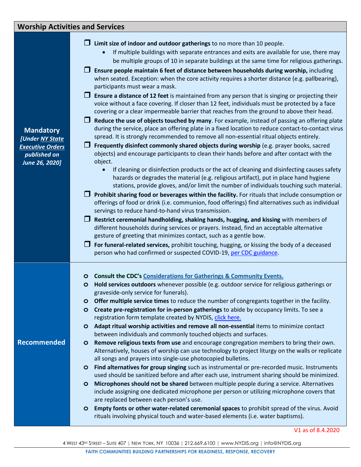## **Worship Activities and Services**

| $\Box$ Limit size of indoor and outdoor gatherings to no more than 10 people. |  |  |
|-------------------------------------------------------------------------------|--|--|
|                                                                               |  |  |

- If multiple buildings with separate entrances and exits are available for use, there may be multiple groups of 10 in separate buildings at the same time for religious gatherings.
- **Ensure people maintain 6 feet of distance between households during worship,** including when seated. Exception: when the core activity requires a shorter distance (e.g. pallbearing), participants must wear a mask.
- **Ensure a distance of 12 feet** is maintained from any person that is singing or projecting their voice without a face covering. If closer than 12 feet, individuals must be protected by a face covering or a clear impermeable barrier that reaches from the ground to above their head.
- **Reduce the use of objects touched by many**. For example, instead of passing an offering plate during the service, place an offering plate in a fixed location to reduce contact-to-contact virus spread. It is strongly recommended to remove all non-essential ritual objects entirely.
- **T** Frequently disinfect commonly shared objects during worship (e.g. prayer books, sacred objects) and encourage participants to clean their hands before and after contact with the object.
	- If cleaning or disinfection products or the act of cleaning and disinfecting causes safety hazards or degrades the material (e.g. religious artifact), put in place hand hygiene stations, provide gloves, and/or limit the number of individuals touching such material.
- **Prohibit sharing food or beverages within the facility.** For rituals that include consumption or offerings of food or drink (i.e. communion, food offerings) find alternatives such as individual servings to reduce hand-to-hand virus transmission.
- **Restrict ceremonial handholding, shaking hands, hugging, and kissing** with members of different households during services or prayers. Instead, find an acceptable alternative gesture of greeting that minimizes contact, such as a gentle bow.
- **For funeral-related services,** prohibit touching, hugging, or kissing the body of a deceased person who had confirmed or suspected COVID-19[, per CDC guidance.](https://www.cdc.gov/coronavirus/2019-ncov/daily-life-coping/funeral-guidance.html)
- **o Consult the CDC's [Considerations for Gatherings &](https://www.cdc.gov/coronavirus/2019-ncov/community/large-events/considerations-for-events-gatherings.html) Community Events.**
- **o Hold services outdoors** whenever possible (e.g. outdoor service for religious gatherings or graveside-only service for funerals).
- **o Offer multiple service times** to reduce the number of congregants together in the facility.
- **o Create pre-registration for in-person gatherings** to abide by occupancy limits. To see a registration form template created by NYDIS, [click here.](https://nydis.wufoo.com/forms/z7psyl009gzkwz/)
- **o Adapt ritual worship activities and remove all non-essential** items to minimize contact between individuals and commonly touched objects and surfaces.
- **o Remove religious texts from use** and encourage congregation members to bring their own. Alternatively, houses of worship can use technology to project liturgy on the walls or replicate all songs and prayers into single-use photocopied bulletins.
- **o Find alternatives for group singing** such as instrumental or pre-recorded music. Instruments used should be sanitized before and after each use, instrument sharing should be minimized.
- **o Microphones should not be shared** between multiple people during a service. Alternatives include assigning one dedicated microphone per person or utilizing microphone covers that are replaced between each person's use.
- **o Empty fonts or other water-related ceremonial spaces** to prohibit spread of the virus. Avoid rituals involving physical touch and water-based elements (i.e. water baptisms).

V1 as of 8.4.2020

**Mandatory** *[Under [NY State](https://forward.ny.gov/religious-and-funeral-services-ny-forward-guidelines)  [Executive Orders](https://forward.ny.gov/religious-and-funeral-services-ny-forward-guidelines) published on June 26, 2020]*

**Recommended**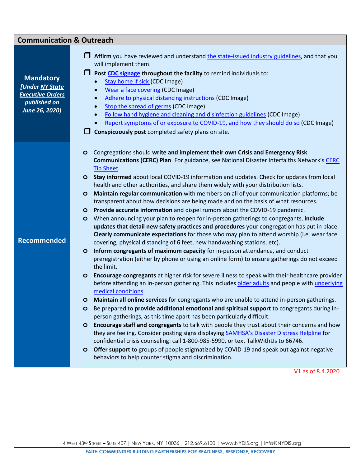| <b>Communication &amp; Outreach</b>                                                              |                                                                                                                                                                                                                                                                                                                                                                                                                                                                                                                                                                                                                                                                                                                                                                                                                                                                                                                                                                                                                                                                                                                                                                                                                                                                                                                                                                                                                                                                                                                                                                                                                                                                                                                                                                                                                                                                                                                                                                                                                                                                                                                                                                                                                                                                                 |  |  |  |
|--------------------------------------------------------------------------------------------------|---------------------------------------------------------------------------------------------------------------------------------------------------------------------------------------------------------------------------------------------------------------------------------------------------------------------------------------------------------------------------------------------------------------------------------------------------------------------------------------------------------------------------------------------------------------------------------------------------------------------------------------------------------------------------------------------------------------------------------------------------------------------------------------------------------------------------------------------------------------------------------------------------------------------------------------------------------------------------------------------------------------------------------------------------------------------------------------------------------------------------------------------------------------------------------------------------------------------------------------------------------------------------------------------------------------------------------------------------------------------------------------------------------------------------------------------------------------------------------------------------------------------------------------------------------------------------------------------------------------------------------------------------------------------------------------------------------------------------------------------------------------------------------------------------------------------------------------------------------------------------------------------------------------------------------------------------------------------------------------------------------------------------------------------------------------------------------------------------------------------------------------------------------------------------------------------------------------------------------------------------------------------------------|--|--|--|
| <b>Mandatory</b><br>[Under NY State<br><b>Executive Orders</b><br>published on<br>June 26, 2020] | Affirm you have reviewed and understand the state-issued industry guidelines, and that you<br>will implement them.<br>Post CDC signage throughout the facility to remind individuals to:<br>Stay home if sick (CDC Image)<br>$\bullet$<br><b>Wear a face covering (CDC Image)</b><br>$\bullet$<br>Adhere to physical distancing instructions (CDC Image)<br>$\bullet$<br>Stop the spread of germs (CDC Image)<br>$\bullet$<br>Follow hand hygiene and cleaning and disinfection guidelines (CDC Image)<br>$\bullet$<br>Report symptoms of or exposure to COVID-19, and how they should do so (CDC Image)<br>$\bullet$<br>Conspicuously post completed safety plans on site.<br>ப                                                                                                                                                                                                                                                                                                                                                                                                                                                                                                                                                                                                                                                                                                                                                                                                                                                                                                                                                                                                                                                                                                                                                                                                                                                                                                                                                                                                                                                                                                                                                                                                |  |  |  |
| <b>Recommended</b>                                                                               | Congregations should write and implement their own Crisis and Emergency Risk<br>$\circ$<br><b>Communications (CERC) Plan.</b> For guidance, see National Disaster Interfaiths Network's CERC<br><b>Tip Sheet</b><br><b>Stay informed</b> about local COVID-19 information and updates. Check for updates from local<br>$\circ$<br>health and other authorities, and share them widely with your distribution lists.<br>Maintain regular communication with members on all of your communication platforms; be<br>$\circ$<br>transparent about how decisions are being made and on the basis of what resources.<br>Provide accurate information and dispel rumors about the COVID-19 pandemic.<br>$\circ$<br>When announcing your plan to reopen for in-person gatherings to congregants, include<br>$\circ$<br>updates that detail new safety practices and procedures your congregation has put in place.<br>Clearly communicate expectations for those who may plan to attend worship (i.e. wear face<br>covering, physical distancing of 6 feet, new handwashing stations, etc).<br>Inform congregants of maximum capacity for in-person attendance, and conduct<br>$\circ$<br>preregistration (either by phone or using an online form) to ensure gatherings do not exceed<br>the limit.<br>Encourage congregants at higher risk for severe illness to speak with their healthcare provider<br>$\circ$<br>before attending an in-person gathering. This includes older adults and people with underlying<br>medical conditions.<br>Maintain all online services for congregants who are unable to attend in-person gatherings.<br>O<br>Be prepared to provide additional emotional and spiritual support to congregants during in-<br>$\circ$<br>person gatherings, as this time apart has been particularly difficult.<br>Encourage staff and congregants to talk with people they trust about their concerns and how<br>$\circ$<br>they are feeling. Consider posting signs displaying SAMHSA's Disaster Distress Helpline for<br>confidential crisis counseling: call 1-800-985-5990, or text TalkWithUs to 66746.<br>O Offer support to groups of people stigmatized by COVID-19 and speak out against negative<br>behaviors to help counter stigma and discrimination. |  |  |  |

V1 as of 8.4.2020